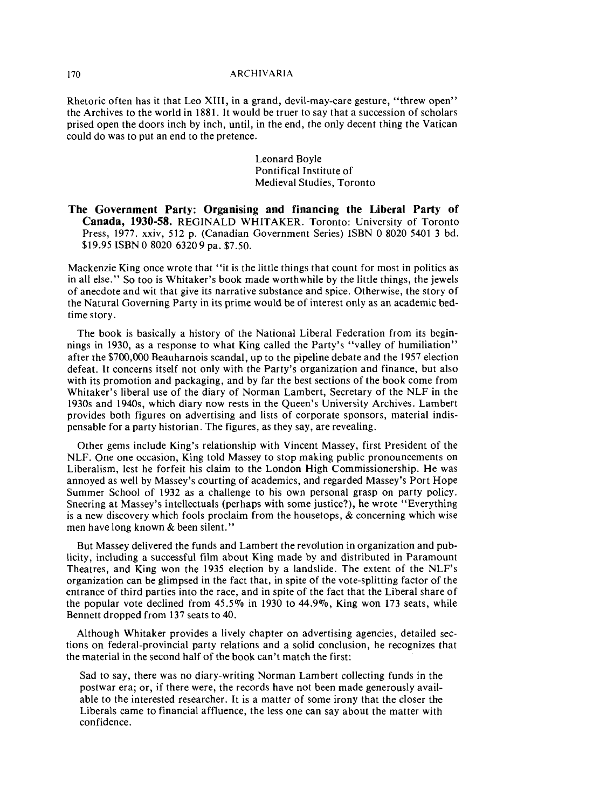## 170 ARCHIVARIA

Rhetoric often has it that Leo XIII, in a grand, devil-may-care gesture, "threw open'' the Archives to the world in 1881. It would be truer to say that a succession of scholars prised open the doors inch by inch, until, in the end, the only decent thing the Vatican could do was to put an end to the pretence.

> Leonard Boyle Pontifical Institute of Medieval Studies, Toronto

**The Government Party: Organising and financing the Liberal Party of Canada, 1930-58.** REGINALD WHITAKER. Toronto: University of Toronto Press, 1977. xxiv, 512 p. (Canadian Government Series) ISBN 0 8020 5401 3 bd. \$19.95 ISBN 0 8020 6320 9 pa. \$7.50.

Mackenzie King once wrote that "it is the little things that count for most in politics as in all else." So too is Whitaker's book made worthwhile by the little things, the jewels of anecdote and wit that give its narrative substance and spice. Otherwise, the story of the Natural Governing Party in its prime would be of interest only as an academic bedtime story.

The book is basically a history of the National Liberal Federation from its beginnings in 1930, as a response to what King called the Party's "valley of humiliation" after the \$700,000 Beauharnois scandal, up to the pipeline debate and the 1957 election defeat. It concerns itself not only with the Party's organization and finance, but also with its promotion and packaging, and by far the best sections of the book come from Whitaker's liberal use of the diary of Norman Lambert, Secretary of the NLF in the 1930s and 1940s, which diary now rests in the Queen's University Archives. Lambert provides both figures on advertising and lists of corporate sponsors, material indispensable for a party historian. The figures, as they say, are revealing.

Other gems include King's relationship with Vincent Massey, first President of the NLF. One one occasion, King told Massey to stop making public pronouncements on Liberalism, lest he forfeit his claim to the London High Commissionership. He was annoyed as well by Massey's courting of academics, and regarded Massey's Port Hope Summer School of 1932 as a challenge to his own personal grasp on party policy. Sneering at Massey's intellectuals (perhaps with some justice?), he wrote "Everything is a new discovery which fools proclaim from the housetops,  $\&$  concerning which wise men have long known & been silent."

But Massey delivered the funds and Lambert the revolution in organization and publicity, including a successful film about King made by and distributed in Paramount Theatres, and King won the 1935 election by a landslide. The extent of the NLF's organization can be glimpsed in the fact that, in spite of the vote-splitting factor of the entrance of third parties into the race, and in spite of the fact that the Liberal share of the popular vote declined from 45.5% in 1930 to 44.9%, King won 173 seats, while Bennett dropped from 137 seats to 40.

Although Whitaker provides a lively chapter on advertising agencies, detailed sections on federal-provincial party relations and a solid conclusion, he recognizes that the material in the second half of the book can't match the first:

Sad to say, there was no diary-writing Norman Lambert collecting funds in the postwar era; or, if there were, the records have not been made generously available to the interested researcher. It is a matter of some irony that the closer the Liberals came to financial affluence, the less one can say about the matter with confidence.